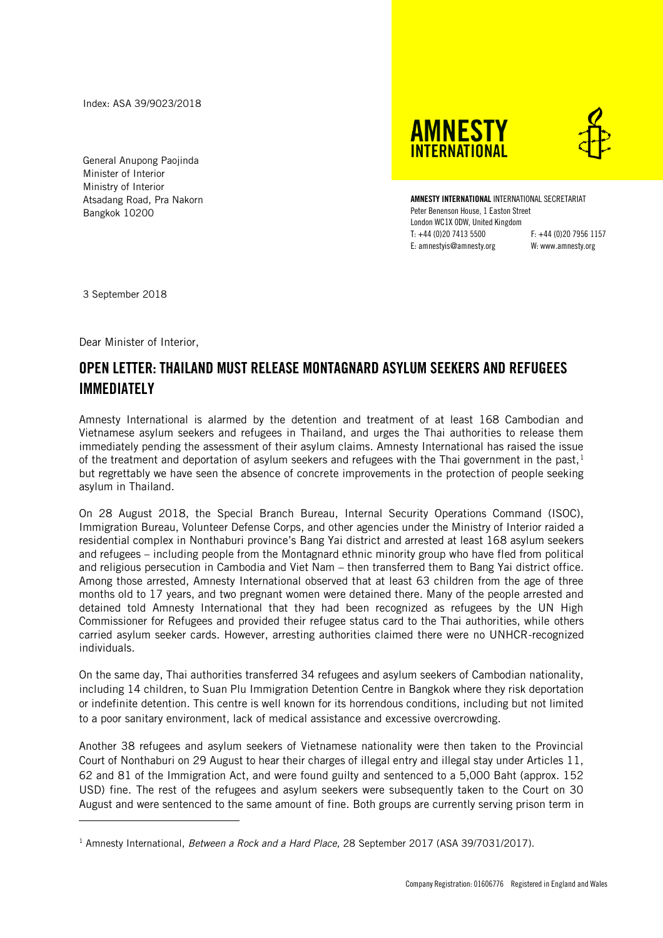Index: ASA 39/9023/2018

General Anupong Paojinda Minister of Interior Ministry of Interior Atsadang Road, Pra Nakorn Bangkok 10200

**INTERNATIONAL** AMNESTY INTERNATIONAL INTERNATIONAL SECRETARIAT Peter Benenson House, 1 Easton Street London WC1X 0DW, United Kingdom

T: +44 (0)20 7413 5500 F: +44 (0)20 7956 1157 E: amnestyis@amnesty.org W: www.amnesty.org

**AMNESTY** 

3 September 2018

l

Dear Minister of Interior,

## OPEN LETTER: THAILAND MUST RELEASE MONTAGNARD ASYLUM SEEKERS AND REFUGEES IMMEDIATELY

Amnesty International is alarmed by the detention and treatment of at least 168 Cambodian and Vietnamese asylum seekers and refugees in Thailand, and urges the Thai authorities to release them immediately pending the assessment of their asylum claims. Amnesty International has raised the issue of the treatment and deportation of asylum seekers and refugees with the Thai government in the past.<sup>1</sup> but regrettably we have seen the absence of concrete improvements in the protection of people seeking asylum in Thailand.

On 28 August 2018, the Special Branch Bureau, Internal Security Operations Command (ISOC), Immigration Bureau, Volunteer Defense Corps, and other agencies under the Ministry of Interior raided a residential complex in Nonthaburi province's Bang Yai district and arrested at least 168 asylum seekers and refugees – including people from the Montagnard ethnic minority group who have fled from political and religious persecution in Cambodia and Viet Nam – then transferred them to Bang Yai district office. Among those arrested, Amnesty International observed that at least 63 children from the age of three months old to 17 years, and two pregnant women were detained there. Many of the people arrested and detained told Amnesty International that they had been recognized as refugees by the UN High Commissioner for Refugees and provided their refugee status card to the Thai authorities, while others carried asylum seeker cards. However, arresting authorities claimed there were no UNHCR-recognized individuals.

On the same day, Thai authorities transferred 34 refugees and asylum seekers of Cambodian nationality, including 14 children, to Suan Plu Immigration Detention Centre in Bangkok where they risk deportation or indefinite detention. This centre is well known for its horrendous conditions, including but not limited to a poor sanitary environment, lack of medical assistance and excessive overcrowding.

Another 38 refugees and asylum seekers of Vietnamese nationality were then taken to the Provincial Court of Nonthaburi on 29 August to hear their charges of illegal entry and illegal stay under Articles 11, 62 and 81 of the Immigration Act, and were found guilty and sentenced to a 5,000 Baht (approx. 152 USD) fine. The rest of the refugees and asylum seekers were subsequently taken to the Court on 30 August and were sentenced to the same amount of fine. Both groups are currently serving prison term in

<sup>1</sup> Amnesty International, *Between a Rock and a Hard Place,* 28 September 2017 (ASA 39/7031/2017).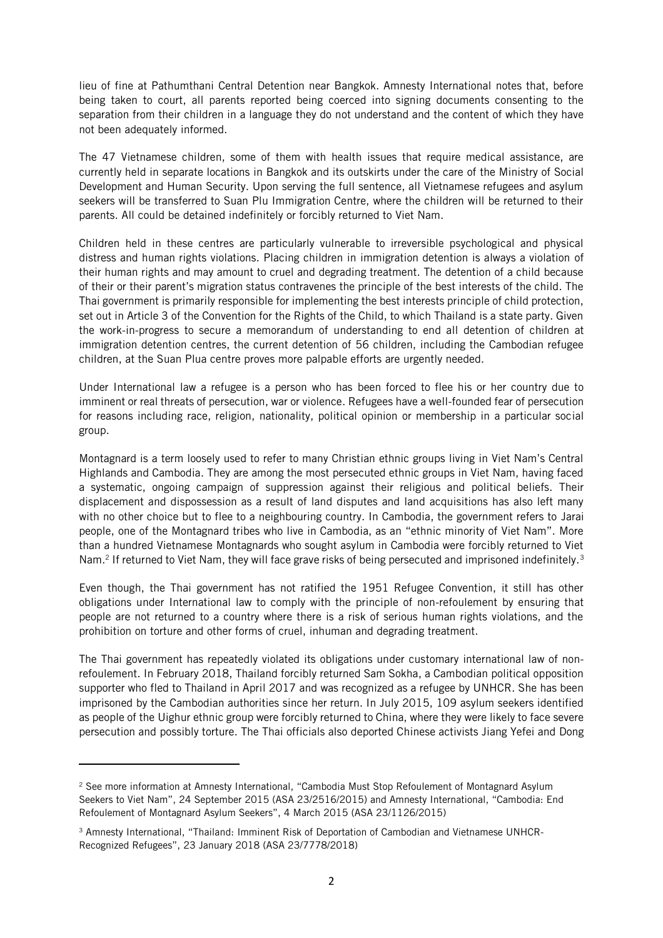lieu of fine at Pathumthani Central Detention near Bangkok. Amnesty International notes that, before being taken to court, all parents reported being coerced into signing documents consenting to the separation from their children in a language they do not understand and the content of which they have not been adequately informed.

The 47 Vietnamese children, some of them with health issues that require medical assistance, are currently held in separate locations in Bangkok and its outskirts under the care of the Ministry of Social Development and Human Security. Upon serving the full sentence, all Vietnamese refugees and asylum seekers will be transferred to Suan Plu Immigration Centre, where the children will be returned to their parents. All could be detained indefinitely or forcibly returned to Viet Nam.

Children held in these centres are particularly vulnerable to irreversible psychological and physical distress and human rights violations. Placing children in immigration detention is always a violation of their human rights and may amount to cruel and degrading treatment. The detention of a child because of their or their parent's migration status contravenes the principle of the best interests of the child. The Thai government is primarily responsible for implementing the best interests principle of child protection, set out in Article 3 of the Convention for the Rights of the Child, to which Thailand is a state party. Given the work-in-progress to secure a memorandum of understanding to end all detention of children at immigration detention centres, the current detention of 56 children, including the Cambodian refugee children, at the Suan Plua centre proves more palpable efforts are urgently needed.

Under International law a refugee is a person who has been forced to flee his or her country due to imminent or real threats of persecution, war or violence. Refugees have a well-founded fear of persecution for reasons including race, religion, nationality, political opinion or membership in a particular social group.

Montagnard is a term loosely used to refer to many Christian ethnic groups living in Viet Nam's Central Highlands and Cambodia. They are among the most persecuted ethnic groups in Viet Nam, having faced a systematic, ongoing campaign of suppression against their religious and political beliefs. Their displacement and dispossession as a result of land disputes and land acquisitions has also left many with no other choice but to flee to a neighbouring country. In Cambodia, the government refers to Jarai people, one of the Montagnard tribes who live in Cambodia, as an "ethnic minority of Viet Nam". More than a hundred Vietnamese Montagnards who sought asylum in Cambodia were forcibly returned to Viet Nam.<sup>2</sup> If returned to Viet Nam, they will face grave risks of being persecuted and imprisoned indefinitely.<sup>3</sup>

Even though, the Thai government has not ratified the 1951 Refugee Convention, it still has other obligations under International law to comply with the principle of non-refoulement by ensuring that people are not returned to a country where there is a risk of serious human rights violations, and the prohibition on torture and other forms of cruel, inhuman and degrading treatment.

The Thai government has repeatedly violated its obligations under customary international law of nonrefoulement. In February 2018, Thailand forcibly returned Sam Sokha, a Cambodian political opposition supporter who fled to Thailand in April 2017 and was recognized as a refugee by UNHCR. She has been imprisoned by the Cambodian authorities since her return. In July 2015, 109 asylum seekers identified as people of the Uighur ethnic group were forcibly returned to China, where they were likely to face severe persecution and possibly torture. The Thai officials also deported Chinese activists Jiang Yefei and Dong

 $\overline{a}$ 

<sup>&</sup>lt;sup>2</sup> See more information at Amnesty International, "Cambodia Must Stop Refoulement of Montagnard Asylum Seekers to Viet Nam", 24 September 2015 (ASA 23/2516/2015) and Amnesty International, "Cambodia: End Refoulement of Montagnard Asylum Seekers", 4 March 2015 (ASA 23/1126/2015)

<sup>3</sup> Amnesty International, "Thailand: Imminent Risk of Deportation of Cambodian and Vietnamese UNHCR-Recognized Refugees", 23 January 2018 (ASA 23/7778/2018)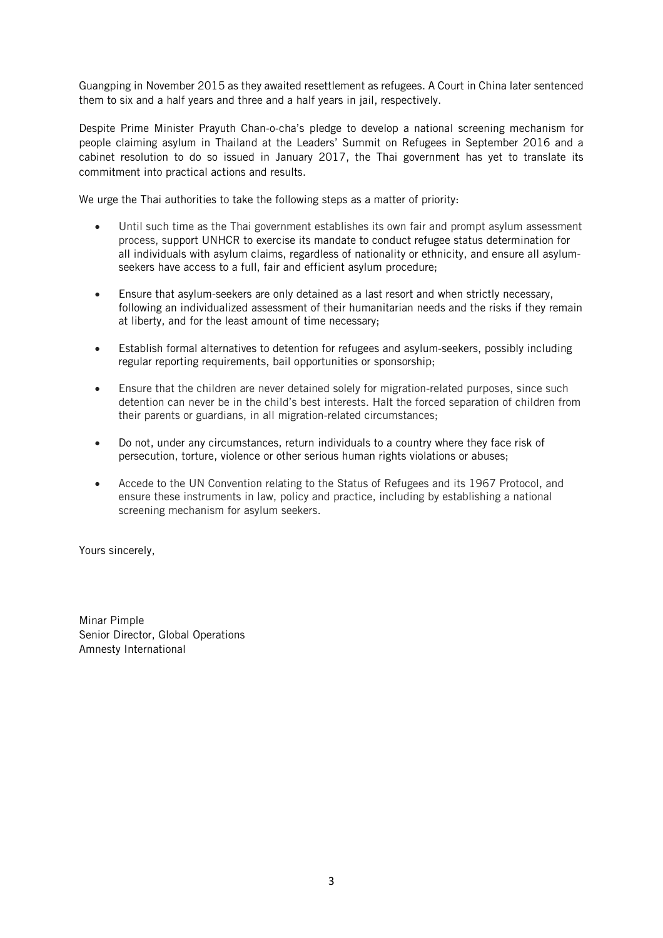Guangping in November 2015 as they awaited resettlement as refugees. A Court in China later sentenced them to six and a half years and three and a half years in jail, respectively.

Despite Prime Minister Prayuth Chan-o-cha's pledge to develop a national screening mechanism for people claiming asylum in Thailand at the Leaders' Summit on Refugees in September 2016 and a cabinet resolution to do so issued in January 2017, the Thai government has yet to translate its commitment into practical actions and results.

We urge the Thai authorities to take the following steps as a matter of priority:

- Until such time as the Thai government establishes its own fair and prompt asylum assessment process, support UNHCR to exercise its mandate to conduct refugee status determination for all individuals with asylum claims, regardless of nationality or ethnicity, and ensure all asylumseekers have access to a full, fair and efficient asylum procedure;
- Ensure that asylum-seekers are only detained as a last resort and when strictly necessary, following an individualized assessment of their humanitarian needs and the risks if they remain at liberty, and for the least amount of time necessary;
- Establish formal alternatives to detention for refugees and asylum-seekers, possibly including regular reporting requirements, bail opportunities or sponsorship;
- Ensure that the children are never detained solely for migration-related purposes, since such detention can never be in the child's best interests. Halt the forced separation of children from their parents or guardians, in all migration-related circumstances;
- Do not, under any circumstances, return individuals to a country where they face risk of persecution, torture, violence or other serious human rights violations or abuses;
- Accede to the UN Convention relating to the Status of Refugees and its 1967 Protocol, and ensure these instruments in law, policy and practice, including by establishing a national screening mechanism for asylum seekers.

Yours sincerely,

Minar Pimple Senior Director, Global Operations Amnesty International